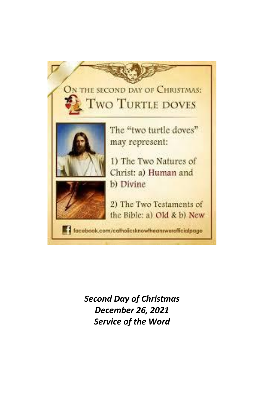

*Second Day of Christmas December 26, 2021 Service of the Word*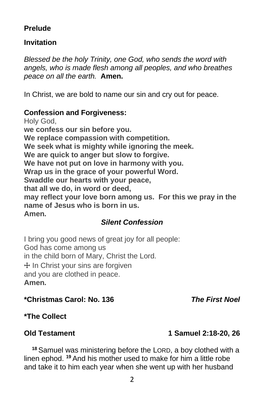# **Prelude**

# **Invitation**

*Blessed be the holy Trinity, one God, who sends the word with angels, who is made flesh among all peoples, and who breathes peace on all the earth.* **Amen.**

In Christ, we are bold to name our sin and cry out for peace.

# **Confession and Forgiveness:**

Holy God, **we confess our sin before you. We replace compassion with competition. We seek what is mighty while ignoring the meek. We are quick to anger but slow to forgive. We have not put on love in harmony with you. Wrap us in the grace of your powerful Word. Swaddle our hearts with your peace, that all we do, in word or deed, may reflect your love born among us. For this we pray in the name of Jesus who is born in us. Amen.**

# *Silent Confession*

I bring you good news of great joy for all people: God has come among us in the child born of Mary, Christ the Lord.  $+$  In Christ your sins are forgiven and you are clothed in peace. **Amen.**

# **\*Christmas Carol: No. 136** *The First Noel*

# **\*The Collect**

# **Old Testament 1 Samuel 2:18-20, 26**

**<sup>18</sup>** Samuel was ministering before the LORD, a boy clothed with a linen ephod. **<sup>19</sup>** And his mother used to make for him a little robe and take it to him each year when she went up with her husband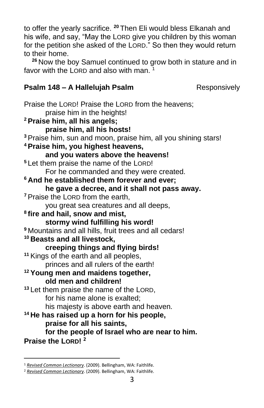to offer the yearly sacrifice. **<sup>20</sup>** Then Eli would bless Elkanah and his wife, and say, "May the LORD give you children by this woman for the petition she asked of the LORD." So then they would return to their home.

**<sup>26</sup>** Now the boy Samuel continued to grow both in stature and in favor with the LORD and also with man.  $1$ 

# **Psalm 148 – A Hallelujah Psalm** Responsively

Praise the LORD! Praise the LORD from the heavens; praise him in the heights! **<sup>2</sup> Praise him, all his angels; praise him, all his hosts! <sup>3</sup>** Praise him, sun and moon, praise him, all you shining stars! **<sup>4</sup> Praise him, you highest heavens, and you waters above the heavens! <sup>5</sup>** Let them praise the name of the LORD! For he commanded and they were created. **<sup>6</sup> And he established them forever and ever; he gave a decree, and it shall not pass away. <sup>7</sup>** Praise the LORD from the earth, you great sea creatures and all deeps, **8 fire and hail, snow and mist, stormy wind fulfilling his word! <sup>9</sup>** Mountains and all hills, fruit trees and all cedars! **<sup>10</sup> Beasts and all livestock, creeping things and flying birds! <sup>11</sup>** Kings of the earth and all peoples, princes and all rulers of the earth! **<sup>12</sup> Young men and maidens together, old men and children! <sup>13</sup>** Let them praise the name of the LORD, for his name alone is exalted; his majesty is above earth and heaven. **<sup>14</sup> He has raised up a horn for his people, praise for all his saints, for the people of Israel who are near to him. Praise the LORD! <sup>2</sup>**

<sup>1</sup> *[Revised Common Lectionary](https://ref.ly/logosres/rcl?ref=YearMonthDay.12-26-2021&off=252&ctx=+Samuel+2:18%E2%80%9320%2c+26%0a~+%0a+%0aPSALM%0aPsalm+148%0a)*. (2009). Bellingham, WA: Faithlife.

<sup>2</sup> *[Revised Common Lectionary](https://ref.ly/logosres/rcl?ref=YearMonthDay.12-26-2021&off=272&ctx=+%0a+%0aPSALM%0aPsalm+148%0a~+%0aNEW+TESTAMENT%0aColo)*. (2009). Bellingham, WA: Faithlife.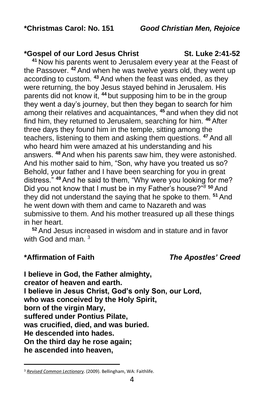#### **\*Gospel of our Lord Jesus Christ St. Luke 2:41-52**

**<sup>41</sup>** Now his parents went to Jerusalem every year at the Feast of the Passover. **<sup>42</sup>** And when he was twelve years old, they went up according to custom. **<sup>43</sup>** And when the feast was ended, as they were returning, the boy Jesus stayed behind in Jerusalem. His parents did not know it, **<sup>44</sup>** but supposing him to be in the group they went a day's journey, but then they began to search for him among their relatives and acquaintances, **<sup>45</sup>** and when they did not find him, they returned to Jerusalem, searching for him. **<sup>46</sup>** After three days they found him in the temple, sitting among the teachers, listening to them and asking them questions. **<sup>47</sup>** And all who heard him were amazed at his understanding and his answers. **<sup>48</sup>** And when his parents saw him, they were astonished. And his mother said to him, "Son, why have you treated us so? Behold, your father and I have been searching for you in great distress." **<sup>49</sup>** And he said to them, "Why were you looking for me? Did you not know that I must be in my Father's house?"*<sup>8</sup>* **<sup>50</sup>** And they did not understand the saying that he spoke to them. **<sup>51</sup>** And he went down with them and came to Nazareth and was submissive to them. And his mother treasured up all these things in her heart.

**<sup>52</sup>** And Jesus increased in wisdom and in stature and in favor with God and man.  $3$ 

# **\*Affirmation of Faith** *The Apostles' Creed*

**I believe in God, the Father almighty, creator of heaven and earth. I believe in Jesus Christ, God's only Son, our Lord, who was conceived by the Holy Spirit, born of the virgin Mary, suffered under Pontius Pilate, was crucified, died, and was buried. He descended into hades. On the third day he rose again; he ascended into heaven,**

<sup>3</sup> *[Revised Common Lectionary](https://ref.ly/logosres/rcl?ref=YearMonthDay.12-26-2021&off=329&ctx=lossians+3:12%E2%80%9317%0a+%0aGOSPEL%0aLuke+2:41%E2%80%9352%0a~+)*. (2009). Bellingham, WA: Faithlife.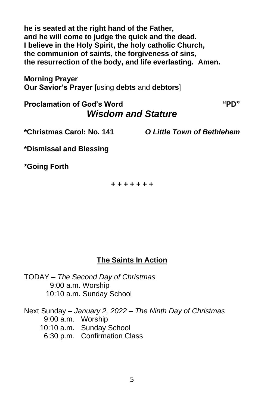**he is seated at the right hand of the Father, and he will come to judge the quick and the dead. I believe in the Holy Spirit, the holy catholic Church, the communion of saints, the forgiveness of sins, the resurrection of the body, and life everlasting. Amen.**

**Morning Prayer Our Savior's Prayer** [using **debts** and **debtors**]

# **Proclamation of God's Word "PD"** *Wisdom and Stature*

**\*Christmas Carol: No. 141** *O Little Town of Bethlehem*

**\*Dismissal and Blessing**

**\*Going Forth**

*+ + + + + + +*

# **The Saints In Action**

TODAY – *The Second Day of Christmas* 9:00 a.m. Worship 10:10 a.m. Sunday School

Next Sunday – *January 2, 2022 – The Ninth Day of Christmas* 9:00 a.m. Worship 10:10 a.m. Sunday School 6:30 p.m. Confirmation Class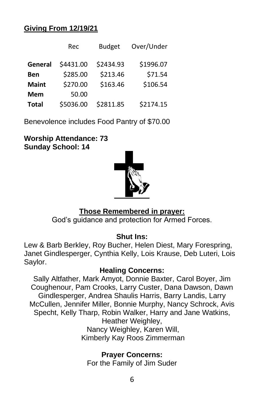# **Giving From 12/19/21**

|              | Rec       | <b>Budget</b> | Over/Under |
|--------------|-----------|---------------|------------|
| General      | \$4431.00 | \$2434.93     | \$1996.07  |
| Ben          | \$285.00  | \$213.46      | \$71.54    |
| <b>Maint</b> | \$270.00  | \$163.46      | \$106.54   |
| <b>Mem</b>   | 50.00     |               |            |
| <b>Total</b> | \$5036.00 | \$2811.85     | \$2174.15  |

Benevolence includes Food Pantry of \$70.00

**Worship Attendance: 73 Sunday School: 14**



# **Those Remembered in prayer:**

God's guidance and protection for Armed Forces.

# **Shut Ins:**

Lew & Barb Berkley, Roy Bucher, Helen Diest, Mary Forespring, Janet Gindlesperger, Cynthia Kelly, Lois Krause, Deb Luteri, Lois Saylor.

# **Healing Concerns:**

Sally Altfather, Mark Amyot, Donnie Baxter, Carol Boyer, Jim Coughenour, Pam Crooks, Larry Custer, Dana Dawson, Dawn Gindlesperger, Andrea Shaulis Harris, Barry Landis, Larry McCullen, Jennifer Miller, Bonnie Murphy, Nancy Schrock, Avis Specht, Kelly Tharp, Robin Walker, Harry and Jane Watkins, Heather Weighley, Nancy Weighley, Karen Will, Kimberly Kay Roos Zimmerman

> **Prayer Concerns:** For the Family of Jim Suder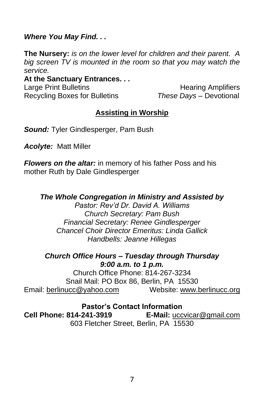#### *Where You May Find. . .*

**The Nursery:** *is on the lower level for children and their parent. A big screen TV is mounted in the room so that you may watch the service.*

#### **At the Sanctuary Entrances. . .** Large Print Bulletins **Example 20** Hearing Amplifiers

Recycling Boxes for Bulletins *These Days –* Devotional

# **Assisting in Worship**

*Sound:* Tyler Gindlesperger, Pam Bush

*Acolyte:* Matt Miller

*Flowers on the altar:* in memory of his father Poss and his mother Ruth by Dale Gindlesperger

# *The Whole Congregation in Ministry and Assisted by*

*Pastor: Rev'd Dr. David A. Williams Church Secretary: Pam Bush Financial Secretary: Renee Gindlesperger Chancel Choir Director Emeritus: Linda Gallick Handbells: Jeanne Hillegas*

#### *Church Office Hours – Tuesday through Thursday 9:00 a.m. to 1 p.m.*

Church Office Phone: 814-267-3234 Snail Mail: PO Box 86, Berlin, PA 15530 Email: [berlinucc@yahoo.com](mailto:berlinucc@yahoo.com) Website: [www.berlinucc.org](http://www.berlinucc.org/)

# **Pastor's Contact Information**

**Cell Phone: 814-241-3919 E-Mail:** [uccvicar@gmail.com](mailto:uccvicar@gmail.com) 603 Fletcher Street, Berlin, PA 15530